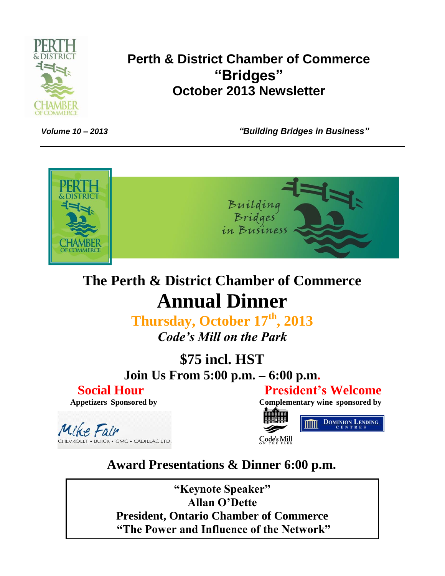

## **Perth & District Chamber of Commerce "Bridges" October 2013 Newsletter**

*Volume 10 – 2013 "Building Bridges in Business"*



# **The Perth & District Chamber of Commerce Annual Dinner**

**Thursday, October 17th, 2013** *Code's Mill on the Park*

**\$75 incl. HST Join Us From 5:00 p.m. – 6:00 p.m.**

# **Social Hour President's Welcome**

 **Appetizers Sponsored by Complementary wine sponsored by**

Mike Fair **CHEVROLET • BUICK • GMC • CADILLAC LTD.** 



# **Award Presentations & Dinner 6:00 p.m.**

*"Keynote Speaker"* **Allan O'Dette President, Ontario Chamber of Commerce "Keynote Speaker" "The Power and Influence of the Network"**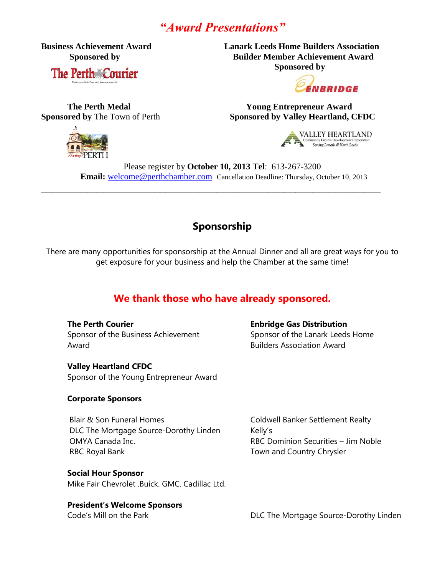### *"Award Presentations"*

**The Perth Courier** 

**Business Achievement Award Lanark Leeds Home Builders Association Sponsored by Builder Member Achievement Award Sponsored by**



 **The Perth Medal Young Entrepreneur Award Sponsored by** The Town of Perth<br>
Sponsored by Valley Heartland, CFDC



**VALLEY HEARTLAND** Community Futures Development Corpo

Please register by **October 10, 2013 Tel**: 613-267-3200 **Email:** [welcome@perthchamber.com](mailto:welcome@perthchamber.com) Cancellation Deadline: Thursday, October 10, 2013

**\_\_\_\_\_\_\_\_\_\_\_\_\_\_\_\_\_\_\_\_\_\_\_\_\_\_\_\_\_\_\_\_\_\_\_\_\_\_\_\_\_\_\_\_\_\_\_\_\_\_\_\_\_\_\_\_\_\_\_\_**

#### **Sponsorship**

There are many opportunities for sponsorship at the Annual Dinner and all are great ways for you to get exposure for your business and help the Chamber at the same time!

### **We thank those who have already sponsored.**

**The Perth Courier Enbridge Gas Distribution** Sponsor of the Business Achievement Sponsor of the Lanark Leeds Home Award Builders Association Award

**Valley Heartland CFDC** Sponsor of the Young Entrepreneur Award

#### **Corporate Sponsors**

Blair & Son Funeral Homes Coldwell Banker Settlement Realty DLC The Mortgage Source-Dorothy Linden Kelly's OMYA Canada Inc. RBC Dominion Securities – Jim Noble RBC Royal Bank Town and Country Chrysler

**Social Hour Sponsor**

Mike Fair Chevrolet .Buick. GMC. Cadillac Ltd.

#### **President's Welcome Sponsors**

Code's Mill on the Park **DLC The Mortgage Source-Dorothy Linden**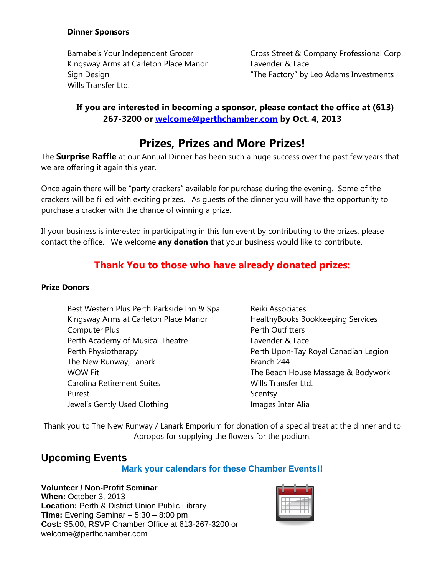#### **Dinner Sponsors**

Kingsway Arms at Carleton Place Manor Lavender & Lace Wills Transfer Ltd.

Barnabe's Your Independent Grocer Cross Street & Company Professional Corp. Sign Design "The Factory" by Leo Adams Investments

#### **If you are interested in becoming a sponsor, please contact the office at (613) 267-3200 or [welcome@perthchamber.com](mailto:welcome@perthchamber.com) by Oct. 4, 2013**

### **Prizes, Prizes and More Prizes!**

The **Surprise Raffle** at our Annual Dinner has been such a huge success over the past few years that we are offering it again this year.

Once again there will be "party crackers" available for purchase during the evening. Some of the crackers will be filled with exciting prizes. As guests of the dinner you will have the opportunity to purchase a cracker with the chance of winning a prize.

If your business is interested in participating in this fun event by contributing to the prizes, please contact the office. We welcome **any donation** that your business would like to contribute.

### **Thank You to those who have already donated prizes:**

#### **Prize Donors**

- Best Western Plus Perth Parkside Inn & Spa Reiki Associates Kingsway Arms at Carleton Place Manor **HealthyBooks Bookkeeping Services** Computer Plus **Perth Outfitters** Perth Academy of Musical Theatre **Lavender & Lace** Perth Physiotherapy **Perth Upon-Tay Royal Canadian Legion** The New Runway, Lanark Branch 244 WOW Fit WOW Fit Seach House Massage & Bodywork Carolina Retirement Suites **Wills Transfer Ltd.** Purest **Scentsy** Jewel's Gently Used Clothing The Manages Inter Alia
- 

Thank you to The New Runway / Lanark Emporium for donation of a special treat at the dinner and to Apropos for supplying the flowers for the podium.

### **Upcoming Events**

#### **Mark your calendars for these Chamber Events!!**

#### **Volunteer / Non-Profit Seminar**

**When:** October 3, 2013 **Location:** Perth & District Union Public Library **Time:** Evening Seminar – 5:30 – 8:00 pm **Cost:** \$5.00, RSVP Chamber Office at 613-267-3200 or welcome@perthchamber.com

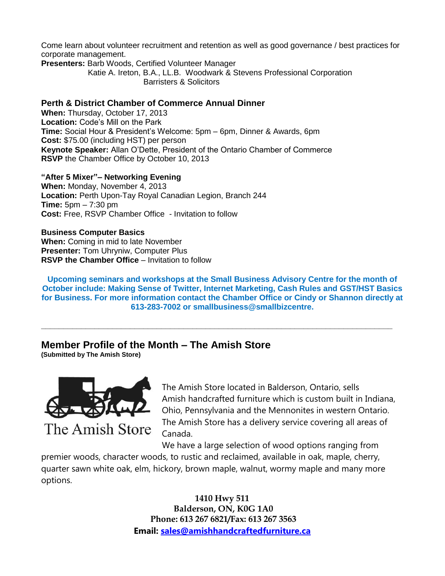Come learn about volunteer recruitment and retention as well as good governance / best practices for corporate management.

**Presenters:** Barb Woods, Certified Volunteer Manager

 Katie A. Ireton, B.A., LL.B. Woodwark & Stevens Professional Corporation Barristers & Solicitors

#### **Perth & District Chamber of Commerce Annual Dinner**

**When:** Thursday, October 17, 2013 **Location:** Code's Mill on the Park **Time:** Social Hour & President's Welcome: 5pm – 6pm, Dinner & Awards, 6pm **Cost:** \$75.00 (including HST) per person **Keynote Speaker:** Allan O'Dette, President of the Ontario Chamber of Commerce **RSVP** the Chamber Office by October 10, 2013

**"After 5 Mixer"– Networking Evening When:** Monday, November 4, 2013 **Location:** Perth Upon-Tay Royal Canadian Legion, Branch 244 **Time:** 5pm – 7:30 pm **Cost:** Free, RSVP Chamber Office - Invitation to follow

**Business Computer Basics When:** Coming in mid to late November **Presenter:** Tom Uhryniw, Computer Plus **RSVP** the Chamber Office – Invitation to follow

**Upcoming seminars and workshops at the Small Business Advisory Centre for the month of October include: Making Sense of Twitter, Internet Marketing, Cash Rules and GST/HST Basics for Business. For more information contact the Chamber Office or Cindy or Shannon directly at 613-283-7002 or smallbusiness@smallbizcentre.**

**\_\_\_\_\_\_\_\_\_\_\_\_\_\_\_\_\_\_\_\_\_\_\_\_\_\_\_\_\_\_\_\_\_\_\_\_\_\_\_\_\_\_\_\_\_\_\_\_\_\_\_\_\_\_\_\_\_\_\_\_\_\_\_\_\_\_\_\_\_\_\_\_\_\_\_\_\_\_\_**

**Member Profile of the Month – The Amish Store**

**(Submitted by The Amish Store)**



The Amish Store located in Balderson, Ontario, sells Amish handcrafted furniture which is custom built in Indiana, Ohio, Pennsylvania and the Mennonites in western Ontario. The Amish Store has a delivery service covering all areas of Canada.

We have a large selection of wood options ranging from

premier woods, character woods, to rustic and reclaimed, available in oak, maple, cherry, quarter sawn white oak, elm, hickory, brown maple, walnut, wormy maple and many more options.

> **1410 Hwy 511 Balderson, ON, K0G 1A0 Phone: 613 267 6821/Fax: 613 267 3563 Email: [sales@amishhandcraftedfurniture.ca](mailto:sales@amishhandcraftedfurniture.ca)**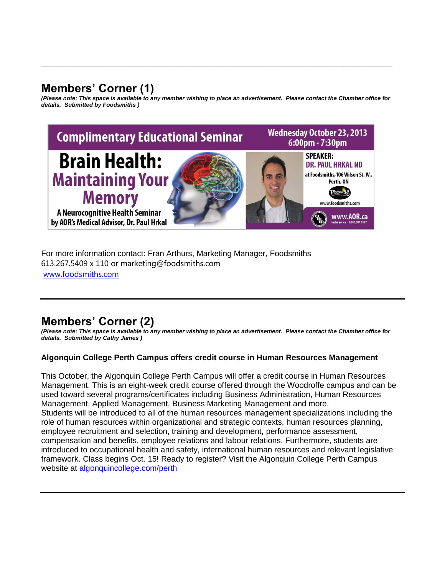### **Members' Corner (1)**

*(Please note: This space is available to any member wishing to place an advertisement. Please contact the Chamber office for details. Submitted by Foodsmiths )*

**\_\_\_\_\_\_\_\_\_\_\_\_\_\_\_\_\_\_\_\_\_\_\_\_\_\_\_\_\_\_\_\_\_\_\_\_\_\_\_\_\_\_\_\_\_\_\_\_\_\_\_\_\_\_\_\_\_\_\_\_\_\_\_\_\_\_\_\_\_\_\_\_\_\_\_\_\_\_\_**



For more information contact: Fran Arthurs, Marketing Manager, Foodsmiths 613.267.5409 x 110 or marketing@foodsmiths.com [www.foodsmiths.com](http://www.foodsmiths.com/)

### **Members' Corner (2)**

*(Please note: This space is available to any member wishing to place an advertisement. Please contact the Chamber office for details. Submitted by Cathy James )*

#### **Algonquin College Perth Campus offers credit course in Human Resources Management**

This October, the Algonquin College Perth Campus will offer a credit course in Human Resources Management. This is an eight-week credit course offered through the Woodroffe campus and can be used toward several programs/certificates including Business Administration, Human Resources Management, Applied Management, Business Marketing Management and more. Students will be introduced to all of the human resources management specializations including the role of human resources within organizational and strategic contexts, human resources planning, employee recruitment and selection, training and development, performance assessment, compensation and benefits, employee relations and labour relations. Furthermore, students are introduced to occupational health and safety, international human resources and relevant legislative framework. Class begins Oct. 15! Ready to register? Visit the Algonquin College Perth Campus website at [algonquincollege.com/perth](http://www2.algonquincollege.com/perth)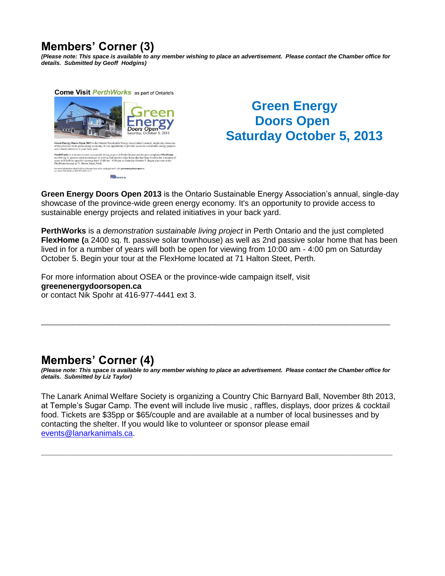### **Members' Corner (3)**

*(Please note: This space is available to any member wishing to place an advertisement. Please contact the Chamber office for details. Submitted by Geoff Hodgins)*



### **Green Energy Doors Open Saturday October 5, 2013**

**Green Energy Doors Open 2013** is the Ontario Sustainable Energy Association's annual, single-day showcase of the province-wide green energy economy. It's an opportunity to provide access to sustainable energy projects and related initiatives in your back yard.

**PerthWorks** is a *demonstration sustainable living project* in Perth Ontario and the just completed **FlexHome (**a 2400 sq. ft. passive solar townhouse) as well as 2nd passive solar home that has been lived in for a number of years will both be open for viewing from 10:00 am - 4:00 pm on Saturday October 5. Begin your tour at the FlexHome located at 71 Halton Steet, Perth.

For more information about OSEA or the province-wide campaign itself, visit **greenenergydoorsopen.ca** or contact Nik Spohr at 416-977-4441 ext 3.

### **Members' Corner (4)**

*(Please note: This space is available to any member wishing to place an advertisement. Please contact the Chamber office for details. Submitted by Liz Taylor)*

**\_\_\_\_\_\_\_\_\_\_\_\_\_\_\_\_\_\_\_\_\_\_\_\_\_\_\_\_\_\_\_\_\_\_\_\_\_\_\_\_\_\_\_\_\_\_\_\_\_\_\_\_\_\_**

The Lanark Animal Welfare Society is organizing a Country Chic Barnyard Ball, November 8th 2013, at Temple's Sugar Camp. The event will include live music , raffles, displays, door prizes & cocktail food. Tickets are \$35pp or \$65/couple and are available at a number of local businesses and by contacting the shelter. If you would like to volunteer or sponsor please email [events@lanarkanimals.ca.](mailto:events@lanarkanimals.ca)

**\_\_\_\_\_\_\_\_\_\_\_\_\_\_\_\_\_\_\_\_\_\_\_\_\_\_\_\_\_\_\_\_\_\_\_\_\_\_\_\_\_\_\_\_\_\_\_\_\_\_\_\_\_\_\_\_\_\_\_\_\_\_\_\_\_\_\_\_\_\_\_\_\_\_\_\_\_\_\_**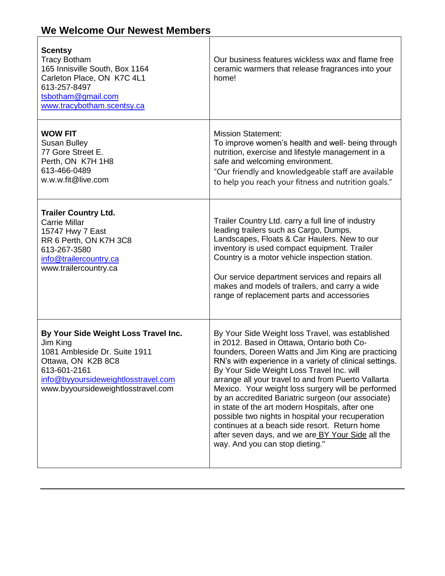# **We Welcome Our Newest Members**

| <b>Scentsy</b><br><b>Tracy Botham</b><br>165 Innisville South, Box 1164<br>Carleton Place, ON K7C 4L1<br>613-257-8497<br>tsbotham@gmail.com<br>www.tracybotham.scentsy.ca                            | Our business features wickless wax and flame free<br>ceramic warmers that release fragrances into your<br>home!                                                                                                                                                                                                                                                                                                                                                                                                                                                                                                                                                                  |
|------------------------------------------------------------------------------------------------------------------------------------------------------------------------------------------------------|----------------------------------------------------------------------------------------------------------------------------------------------------------------------------------------------------------------------------------------------------------------------------------------------------------------------------------------------------------------------------------------------------------------------------------------------------------------------------------------------------------------------------------------------------------------------------------------------------------------------------------------------------------------------------------|
| <b>WOW FIT</b><br><b>Susan Bulley</b><br>77 Gore Street E.<br>Perth, ON K7H 1H8<br>613-466-0489<br>w.w.w.fit@live.com                                                                                | <b>Mission Statement:</b><br>To improve women's health and well- being through<br>nutrition, exercise and lifestyle management in a<br>safe and welcoming environment.<br>"Our friendly and knowledgeable staff are available<br>to help you reach your fitness and nutrition goals."                                                                                                                                                                                                                                                                                                                                                                                            |
| <b>Trailer Country Ltd.</b><br><b>Carrie Millar</b><br>15747 Hwy 7 East<br>RR 6 Perth, ON K7H 3C8<br>613-267-3580<br>info@trailercountry.ca<br>www.trailercountry.ca                                 | Trailer Country Ltd. carry a full line of industry<br>leading trailers such as Cargo, Dumps,<br>Landscapes, Floats & Car Haulers. New to our<br>inventory is used compact equipment. Trailer<br>Country is a motor vehicle inspection station.<br>Our service department services and repairs all<br>makes and models of trailers, and carry a wide<br>range of replacement parts and accessories                                                                                                                                                                                                                                                                                |
| By Your Side Weight Loss Travel Inc.<br>Jim King<br>1081 Ambleside Dr. Suite 1911<br>Ottawa, ON K2B 8C8<br>613-601-2161<br>info@byyoursideweightlosstravel.com<br>www.byyoursideweightlosstravel.com | By Your Side Weight loss Travel, was established<br>in 2012. Based in Ottawa, Ontario both Co-<br>founders, Doreen Watts and Jim King are practicing<br>RN's with experience in a variety of clinical settings.<br>By Your Side Weight Loss Travel Inc. will<br>arrange all your travel to and from Puerto Vallarta<br>Mexico. Your weight loss surgery will be performed<br>by an accredited Bariatric surgeon (our associate)<br>in state of the art modern Hospitals, after one<br>possible two nights in hospital your recuperation<br>continues at a beach side resort. Return home<br>after seven days, and we are BY Your Side all the<br>way. And you can stop dieting." |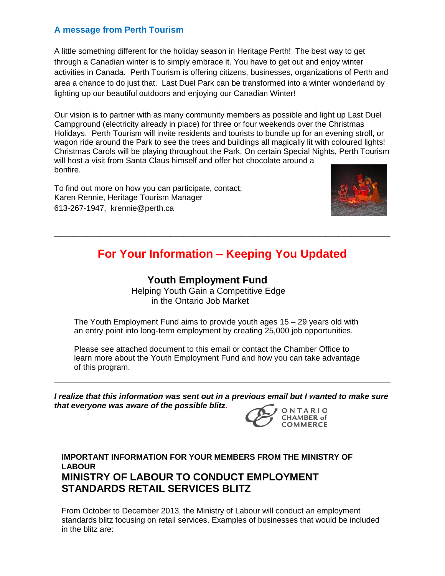#### **A message from Perth Tourism**

A little something different for the holiday season in Heritage Perth! The best way to get through a Canadian winter is to simply embrace it. You have to get out and enjoy winter activities in Canada. Perth Tourism is offering citizens, businesses, organizations of Perth and area a chance to do just that. Last Duel Park can be transformed into a winter wonderland by lighting up our beautiful outdoors and enjoying our Canadian Winter!

Our vision is to partner with as many community members as possible and light up Last Duel Campground (electricity already in place) for three or four weekends over the Christmas Holidays. Perth Tourism will invite residents and tourists to bundle up for an evening stroll, or wagon ride around the Park to see the trees and buildings all magically lit with coloured lights! Christmas Carols will be playing throughout the Park. On certain Special Nights, Perth Tourism will host a visit from Santa Claus himself and offer hot chocolate around a bonfire.

To find out more on how you can participate, contact; Karen Rennie, Heritage Tourism Manager 613-267-1947, krennie@perth.ca



### **For Your Information – Keeping You Updated**

**\_\_\_\_\_\_\_\_\_\_\_\_\_\_\_\_\_\_\_\_\_\_\_\_\_\_\_\_\_\_\_\_\_\_\_\_\_\_\_\_\_\_\_\_\_\_\_\_\_\_\_\_**

#### **Youth Employment Fund**

 Helping Youth Gain a Competitive Edge in the Ontario Job Market

The Youth Employment Fund aims to provide youth ages 15 – 29 years old with an entry point into long-term employment by creating 25,000 job opportunities.

Please see attached document to this email or contact the Chamber Office to learn more about the Youth Employment Fund and how you can take advantage of this program.

*I realize that this information was sent out in a previous email but I wanted to make sure that everyone was aware of the possible blitz***.** 



**IMPORTANT INFORMATION FOR YOUR MEMBERS FROM THE MINISTRY OF LABOUR MINISTRY OF LABOUR TO CONDUCT EMPLOYMENT STANDARDS RETAIL SERVICES BLITZ**

From October to December 2013, the Ministry of Labour will conduct an employment standards blitz focusing on retail services. Examples of businesses that would be included in the blitz are: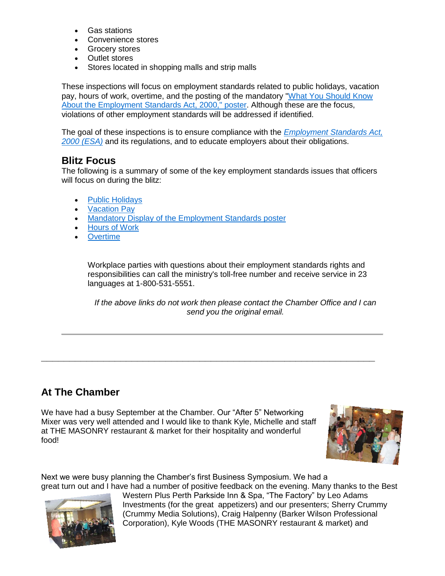- Gas stations
- Convenience stores
- Grocery stores
- Outlet stores
- Stores located in shopping malls and strip malls

These inspections will focus on employment standards related to public holidays, vacation pay, hours of work, overtime, and the posting of the mandatory "What You Should Know About the Employment [Standards Act, 2000," poster.](http://r20.rs6.net/tn.jsp?e=001TsKR1HGcLXh0zdN_d1jUxfE04aiSqbl0wqJWj1xbkErIXT131dwJKK28rX4dd-REZ4B2rcTTbNrO0K_SutCkQZSc7oFz_jEnX_JgmnxnuRZv3wTxrX9D81u_Xegm9Ndono6wUPNfeb8xplMNV-pXYXVuY8ZNF0CuZYOgOVNUWcu6l7DFLbv2kg0ArxIgQm5o) Although these are the focus, violations of other employment standards will be addressed if identified.

The goal of these inspections is to ensure compliance with the *[Employment Standards Act,](http://r20.rs6.net/tn.jsp?e=001TsKR1HGcLXhNieKnHeYpIbp--I0m_QzY0eRuzdcvfuIROZR8PPv6OdFNuRhSL3IUZ7H72EC6mB3xWOvJnpfEPqzJVXrZKdFiUkmOyPr_S0Z5C9NTUl8Pe4rSqBEoewlCLOpcgzwGr9A9Dl1gTUrX1lzjKcfbtTevRV0WmU1FlUY6YBjCPJJK47Mx0p63D7fW)  [2000 \(ESA\)](http://r20.rs6.net/tn.jsp?e=001TsKR1HGcLXhNieKnHeYpIbp--I0m_QzY0eRuzdcvfuIROZR8PPv6OdFNuRhSL3IUZ7H72EC6mB3xWOvJnpfEPqzJVXrZKdFiUkmOyPr_S0Z5C9NTUl8Pe4rSqBEoewlCLOpcgzwGr9A9Dl1gTUrX1lzjKcfbtTevRV0WmU1FlUY6YBjCPJJK47Mx0p63D7fW)* and its regulations, and to educate employers about their obligations.

#### **Blitz Focus**

The following is a summary of some of the key employment standards issues that officers will focus on during the blitz:

- [Public Holidays](http://r20.rs6.net/tn.jsp?e=001TsKR1HGcLXi8YEqPS_U_7znBX9ZTACNHj82wMv2ckQAwGmBjAGTA3xKGb-TYC3Sjq6nCC0vXLQK30nAzq3OQqj5EfxOLLOGxmeaP-VLKmp4eDZy2sblG06GTAFUjE7eOV1tytKKWx1PeFSCwuQZLhzxr3m3IvorgE6VoCV_h9uIAo_Ya7RH555Z2UoIqvZza)
- [Vacation Pay](http://r20.rs6.net/tn.jsp?e=001TsKR1HGcLXjNSNKGgo6mIeFryrcMRVDg_hPW6mxk3W2yS25UKOsPOzXar7SxeKooXcGacEQrAq9OxDmE7fUDkZZFGrwBnO8EwPo7UFwG1cSLXY234matYZTXehGMesjNDn3rphotAfK_pYCEzlggHi92iTNTgehdPSePAxJtbz8YgUifnBx_Yuwo5praMa-s)
- [Mandatory Display of the Employment Standards poster](http://r20.rs6.net/tn.jsp?e=001TsKR1HGcLXh0zdN_d1jUxfE04aiSqbl0wqJWj1xbkErIXT131dwJKK28rX4dd-REZ4B2rcTTbNrO0K_SutCkQZSc7oFz_jEnX_JgmnxnuRZv3wTxrX9D81u_Xegm9Ndono6wUPNfeb8xplMNV-pXYXVuY8ZNF0CuZYOgOVNUWcu6l7DFLbv2kg0ArxIgQm5o)
- [Hours of Work](http://r20.rs6.net/tn.jsp?e=001TsKR1HGcLXjKpjih7cS8GfF6HbcQwOCWgQCHxB_Ib8I0YZSE-6VVxkGWlnXXAuirG7g4zqOnhl44ZjghlF5bGc-9kQaBBmxKTRm7zpotOFpy_KBzc5B6OO2AYSmgGLjYCj85osfKSC0Ks_B2RbFXHb-ZSjXb-FUEg3DtQDd6pDi_CSVJK8Q6Aw==)
- **[Overtime](http://r20.rs6.net/tn.jsp?e=001TsKR1HGcLXg_7J8z7oJG903NDLFunS8AZvALFv4rtddIFxy_Ce6TGqKg2Iwgtuo7o6Qse6nhr9MW75vq8TXMsEDFNIM5YSP_rmsBammpTKuuO-A8aMLWl2u8vtE7JPY0iQPcKcHZA3WjNq_uemlnKF0nxSKTsGBU3cocoHnzDxeYfiPqnn5eCeL-C2YHx-5p)**

Workplace parties with questions about their employment standards rights and responsibilities can call the ministry's toll-free number and receive service in 23 languages at 1-800-531-5551.

**\_\_\_\_\_\_\_\_\_\_\_\_\_\_\_\_\_\_\_\_\_\_\_\_\_\_\_\_\_\_\_\_\_\_\_\_\_\_\_\_\_\_\_\_\_\_\_\_\_\_\_\_\_\_\_\_\_\_\_**

*If the above links do not work then please contact the Chamber Office and I can send you the original email.*

#### **At The Chamber**

We have had a busy September at the Chamber. Our "After 5" Networking Mixer was very well attended and I would like to thank Kyle, Michelle and staff at THE MASONRY restaurant & market for their hospitality and wonderful food!



Next we were busy planning the Chamber's first Business Symposium. We had a great turn out and I have had a number of positive feedback on the evening. Many thanks to the Best



Western Plus Perth Parkside Inn & Spa, "The Factory" by Leo Adams Investments (for the great appetizers) and our presenters; Sherry Crummy (Crummy Media Solutions), Craig Halpenny (Barker Wilson Professional Corporation), Kyle Woods (THE MASONRY restaurant & market) and